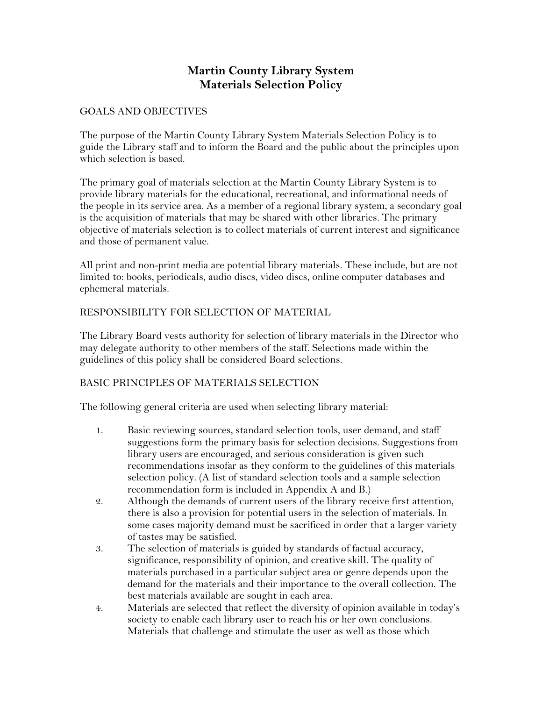# **Martin County Library System Materials Selection Policy**

### GOALS AND OBJECTIVES

The purpose of the Martin County Library System Materials Selection Policy is to guide the Library staff and to inform the Board and the public about the principles upon which selection is based.

The primary goal of materials selection at the Martin County Library System is to provide library materials for the educational, recreational, and informational needs of the people in its service area. As a member of a regional library system, a secondary goal is the acquisition of materials that may be shared with other libraries. The primary objective of materials selection is to collect materials of current interest and significance and those of permanent value.

All print and non-print media are potential library materials. These include, but are not limited to: books, periodicals, audio discs, video discs, online computer databases and ephemeral materials.

### RESPONSIBILITY FOR SELECTION OF MATERIAL

The Library Board vests authority for selection of library materials in the Director who may delegate authority to other members of the staff. Selections made within the guidelines of this policy shall be considered Board selections.

### BASIC PRINCIPLES OF MATERIALS SELECTION

The following general criteria are used when selecting library material:

- 1. Basic reviewing sources, standard selection tools, user demand, and staff suggestions form the primary basis for selection decisions. Suggestions from library users are encouraged, and serious consideration is given such recommendations insofar as they conform to the guidelines of this materials selection policy. (A list of standard selection tools and a sample selection recommendation form is included in Appendix A and B.)
- 2. Although the demands of current users of the library receive first attention, there is also a provision for potential users in the selection of materials. In some cases majority demand must be sacrificed in order that a larger variety of tastes may be satisfied.
- 3. The selection of materials is guided by standards of factual accuracy, significance, responsibility of opinion, and creative skill. The quality of materials purchased in a particular subject area or genre depends upon the demand for the materials and their importance to the overall collection. The best materials available are sought in each area.
- 4. Materials are selected that reflect the diversity of opinion available in today's society to enable each library user to reach his or her own conclusions. Materials that challenge and stimulate the user as well as those which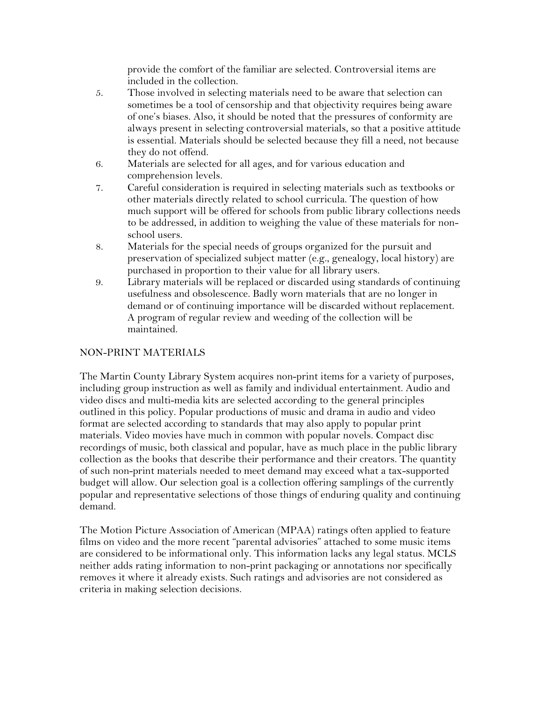provide the comfort of the familiar are selected. Controversial items are included in the collection.

- 5. Those involved in selecting materials need to be aware that selection can sometimes be a tool of censorship and that objectivity requires being aware of one's biases. Also, it should be noted that the pressures of conformity are always present in selecting controversial materials, so that a positive attitude is essential. Materials should be selected because they fill a need, not because they do not offend.
- 6. Materials are selected for all ages, and for various education and comprehension levels.
- 7. Careful consideration is required in selecting materials such as textbooks or other materials directly related to school curricula. The question of how much support will be offered for schools from public library collections needs to be addressed, in addition to weighing the value of these materials for nonschool users.
- 8. Materials for the special needs of groups organized for the pursuit and preservation of specialized subject matter (e.g., genealogy, local history) are purchased in proportion to their value for all library users.
- 9. Library materials will be replaced or discarded using standards of continuing usefulness and obsolescence. Badly worn materials that are no longer in demand or of continuing importance will be discarded without replacement. A program of regular review and weeding of the collection will be maintained.

# NON-PRINT MATERIALS

The Martin County Library System acquires non-print items for a variety of purposes, including group instruction as well as family and individual entertainment. Audio and video discs and multi-media kits are selected according to the general principles outlined in this policy. Popular productions of music and drama in audio and video format are selected according to standards that may also apply to popular print materials. Video movies have much in common with popular novels. Compact disc recordings of music, both classical and popular, have as much place in the public library collection as the books that describe their performance and their creators. The quantity of such non-print materials needed to meet demand may exceed what a tax-supported budget will allow. Our selection goal is a collection offering samplings of the currently popular and representative selections of those things of enduring quality and continuing demand.

The Motion Picture Association of American (MPAA) ratings often applied to feature films on video and the more recent "parental advisories" attached to some music items are considered to be informational only. This information lacks any legal status. MCLS neither adds rating information to non-print packaging or annotations nor specifically removes it where it already exists. Such ratings and advisories are not considered as criteria in making selection decisions.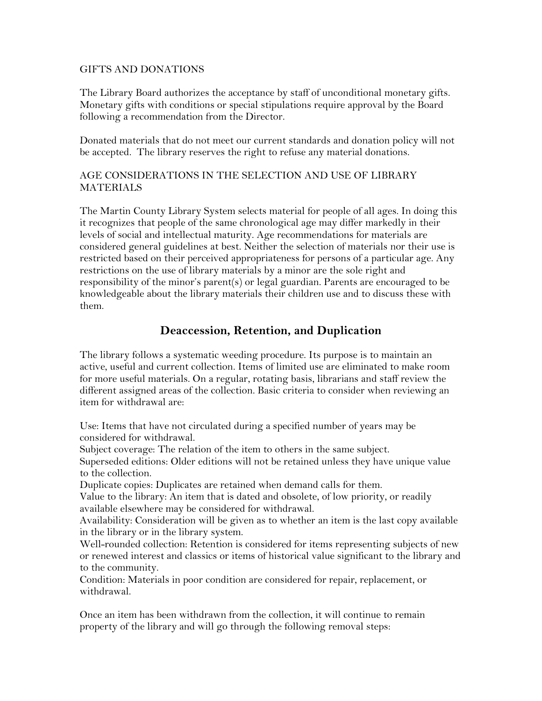#### GIFTS AND DONATIONS

The Library Board authorizes the acceptance by staff of unconditional monetary gifts. Monetary gifts with conditions or special stipulations require approval by the Board following a recommendation from the Director.

Donated materials that do not meet our current standards and donation policy will not be accepted. The library reserves the right to refuse any material donations.

### AGE CONSIDERATIONS IN THE SELECTION AND USE OF LIBRARY **MATERIALS**

The Martin County Library System selects material for people of all ages. In doing this it recognizes that people of the same chronological age may differ markedly in their levels of social and intellectual maturity. Age recommendations for materials are considered general guidelines at best. Neither the selection of materials nor their use is restricted based on their perceived appropriateness for persons of a particular age. Any restrictions on the use of library materials by a minor are the sole right and responsibility of the minor's parent(s) or legal guardian. Parents are encouraged to be knowledgeable about the library materials their children use and to discuss these with them.

# **Deaccession, Retention, and Duplication**

The library follows a systematic weeding procedure. Its purpose is to maintain an active, useful and current collection. Items of limited use are eliminated to make room for more useful materials. On a regular, rotating basis, librarians and staff review the different assigned areas of the collection. Basic criteria to consider when reviewing an item for withdrawal are:

Use: Items that have not circulated during a specified number of years may be considered for withdrawal.

Subject coverage: The relation of the item to others in the same subject.

Superseded editions: Older editions will not be retained unless they have unique value to the collection.

Duplicate copies: Duplicates are retained when demand calls for them.

Value to the library: An item that is dated and obsolete, of low priority, or readily available elsewhere may be considered for withdrawal.

Availability: Consideration will be given as to whether an item is the last copy available in the library or in the library system.

Well-rounded collection: Retention is considered for items representing subjects of new or renewed interest and classics or items of historical value significant to the library and to the community.

Condition: Materials in poor condition are considered for repair, replacement, or withdrawal.

Once an item has been withdrawn from the collection, it will continue to remain property of the library and will go through the following removal steps: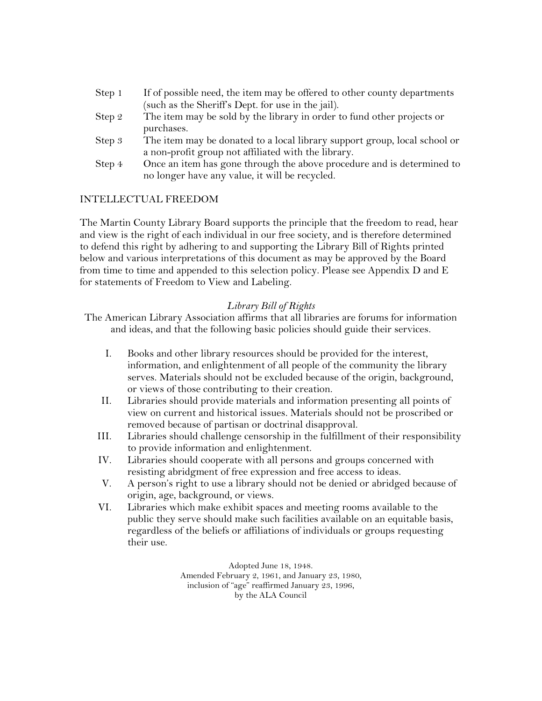| Step 1 | If of possible need, the item may be offered to other county departments  |
|--------|---------------------------------------------------------------------------|
|        | (such as the Sheriff's Dept. for use in the jail).                        |
| Step 2 | The item may be sold by the library in order to fund other projects or    |
|        | purchases.                                                                |
| Step 3 | The item may be donated to a local library support group, local school or |
|        | a non-profit group not affiliated with the library.                       |
| Step 4 | Once an item has gone through the above procedure and is determined to    |
|        | no longer have any value, it will be recycled.                            |

### INTELLECTUAL FREEDOM

The Martin County Library Board supports the principle that the freedom to read, hear and view is the right of each individual in our free society, and is therefore determined to defend this right by adhering to and supporting the Library Bill of Rights printed below and various interpretations of this document as may be approved by the Board from time to time and appended to this selection policy. Please see Appendix D and E for statements of Freedom to View and Labeling.

#### *Library Bill of Rights*

The American Library Association affirms that all libraries are forums for information and ideas, and that the following basic policies should guide their services.

- I. Books and other library resources should be provided for the interest, information, and enlightenment of all people of the community the library serves. Materials should not be excluded because of the origin, background, or views of those contributing to their creation.
- II. Libraries should provide materials and information presenting all points of view on current and historical issues. Materials should not be proscribed or removed because of partisan or doctrinal disapproval.
- III. Libraries should challenge censorship in the fulfillment of their responsibility to provide information and enlightenment.
- IV. Libraries should cooperate with all persons and groups concerned with resisting abridgment of free expression and free access to ideas.
- V. A person's right to use a library should not be denied or abridged because of origin, age, background, or views.
- VI. Libraries which make exhibit spaces and meeting rooms available to the public they serve should make such facilities available on an equitable basis, regardless of the beliefs or affiliations of individuals or groups requesting their use.

Adopted June 18, 1948. Amended February 2, 1961, and January 23, 1980, inclusion of "age" reaffirmed January 23, 1996, by the ALA Council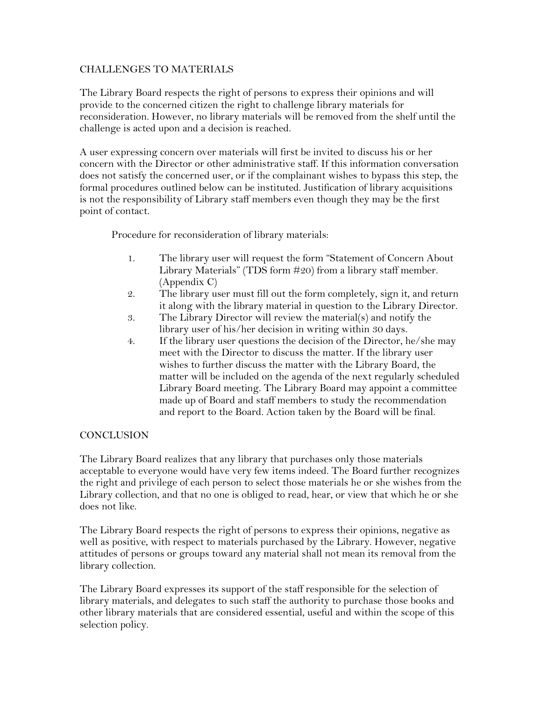### CHALLENGES TO MATERIALS

The Library Board respects the right of persons to express their opinions and will provide to the concerned citizen the right to challenge library materials for reconsideration. However, no library materials will be removed from the shelf until the challenge is acted upon and a decision is reached.

A user expressing concern over materials will first be invited to discuss his or her concern with the Director or other administrative staff. If this information conversation does not satisfy the concerned user, or if the complainant wishes to bypass this step, the formal procedures outlined below can be instituted. Justification of library acquisitions is not the responsibility of Library staff members even though they may be the first point of contact.

Procedure for reconsideration of library materials:

- 1. The library user will request the form "Statement of Concern About Library Materials" (TDS form #20) from a library staff member. (Appendix C)
- 2. The library user must fill out the form completely, sign it, and return it along with the library material in question to the Library Director.
- 3. The Library Director will review the material(s) and notify the library user of his/her decision in writing within 30 days.
- 4. If the library user questions the decision of the Director, he/she may meet with the Director to discuss the matter. If the library user wishes to further discuss the matter with the Library Board, the matter will be included on the agenda of the next regularly scheduled Library Board meeting. The Library Board may appoint a committee made up of Board and staff members to study the recommendation and report to the Board. Action taken by the Board will be final.

## **CONCLUSION**

The Library Board realizes that any library that purchases only those materials acceptable to everyone would have very few items indeed. The Board further recognizes the right and privilege of each person to select those materials he or she wishes from the Library collection, and that no one is obliged to read, hear, or view that which he or she does not like.

The Library Board respects the right of persons to express their opinions, negative as well as positive, with respect to materials purchased by the Library. However, negative attitudes of persons or groups toward any material shall not mean its removal from the library collection.

The Library Board expresses its support of the staff responsible for the selection of library materials, and delegates to such staff the authority to purchase those books and other library materials that are considered essential, useful and within the scope of this selection policy.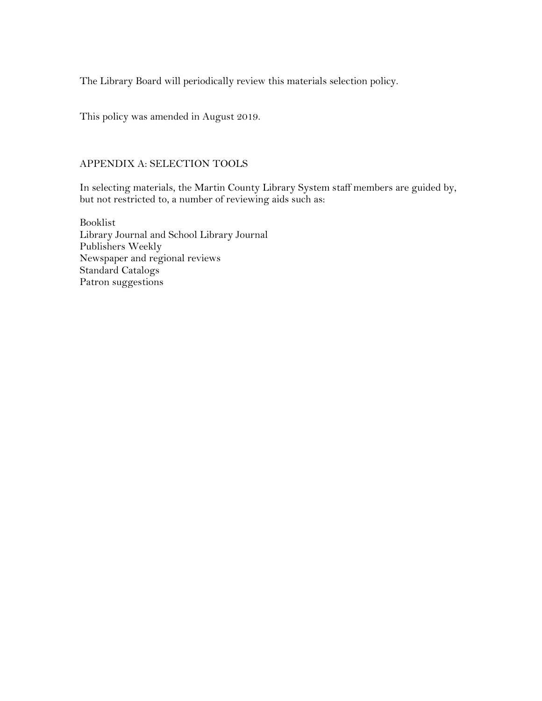The Library Board will periodically review this materials selection policy.

This policy was amended in August 2019.

### APPENDIX A: SELECTION TOOLS

In selecting materials, the Martin County Library System staff members are guided by, but not restricted to, a number of reviewing aids such as:

Booklist Library Journal and School Library Journal Publishers Weekly Newspaper and regional reviews Standard Catalogs Patron suggestions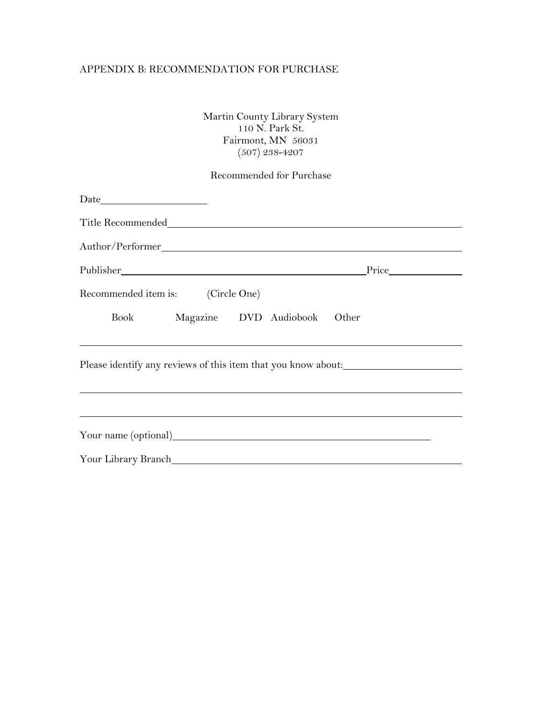### APPENDIX B: RECOMMENDATION FOR PURCHASE

Martin County Library System 110 N. Park St. Fairmont, MN 56031 (507) 238-4207

# Recommended for Purchase

| $\begin{tabular}{c} Date \end{tabular}$                                          |  |  |
|----------------------------------------------------------------------------------|--|--|
|                                                                                  |  |  |
|                                                                                  |  |  |
|                                                                                  |  |  |
| Recommended item is: (Circle One)                                                |  |  |
| Book Magazine DVD Audiobook Other                                                |  |  |
| Please identify any reviews of this item that you know about:                    |  |  |
| ,我们也不会有什么。""我们的人,我们也不会有什么?""我们的人,我们也不会有什么?""我们的人,我们也不会有什么?""我们的人,我们也不会有什么?""我们的人 |  |  |
|                                                                                  |  |  |
|                                                                                  |  |  |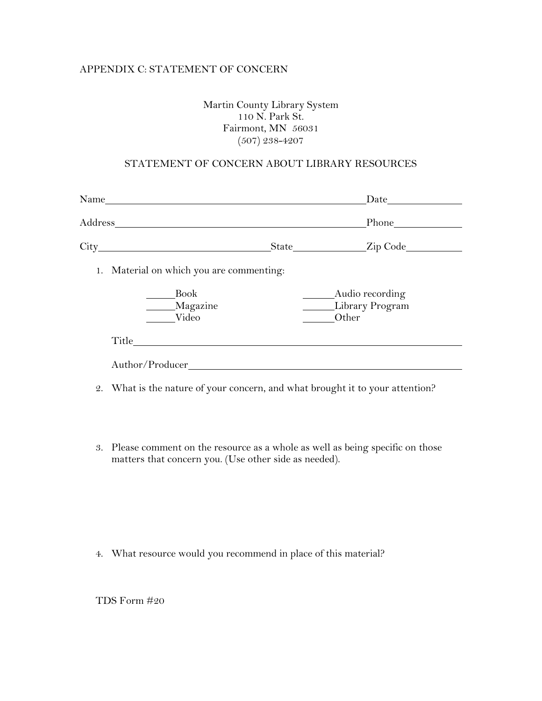### APPENDIX C: STATEMENT OF CONCERN

### Martin County Library System 110 N. Park St. Fairmont, MN 56031 (507) 238-4207

#### STATEMENT OF CONCERN ABOUT LIBRARY RESOURCES

| $Name_$                                  |                                             |
|------------------------------------------|---------------------------------------------|
|                                          |                                             |
|                                          | State____________________Zip Code____       |
| 1. Material on which you are commenting: |                                             |
| <b>Book</b><br>Magazine<br>Video         | Audio recording<br>Library Program<br>Other |
| Title                                    |                                             |
| Author/Producer                          |                                             |
|                                          |                                             |

- 2. What is the nature of your concern, and what brought it to your attention?
- 3. Please comment on the resource as a whole as well as being specific on those matters that concern you. (Use other side as needed).

4. What resource would you recommend in place of this material?

TDS Form #20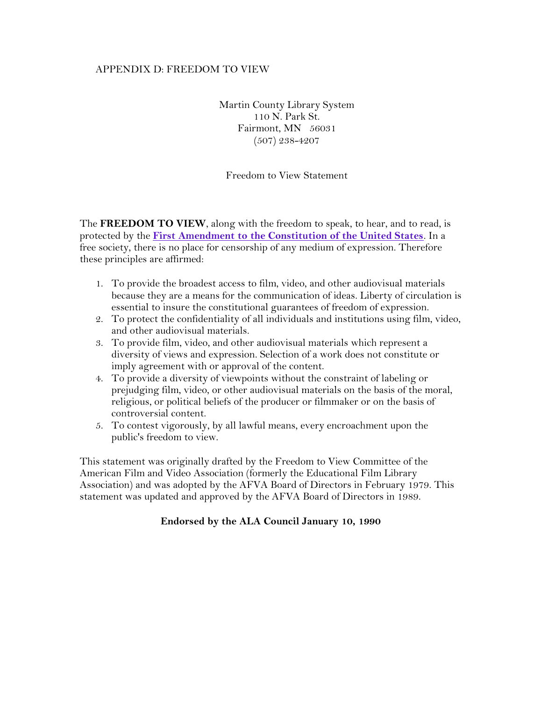### APPENDIX D: FREEDOM TO VIEW

Martin County Library System 110 N. Park St. Fairmont, MN 56031 (507) 238-4207

Freedom to View Statement

The **FREEDOM TO VIEW**, along with the freedom to speak, to hear, and to read, is protected by the **[First Amendment to the Constitution of the United States](http://www.ala.org/alaorg/oif/first.html)**. In a free society, there is no place for censorship of any medium of expression. Therefore these principles are affirmed:

- 1. To provide the broadest access to film, video, and other audiovisual materials because they are a means for the communication of ideas. Liberty of circulation is essential to insure the constitutional guarantees of freedom of expression.
- 2. To protect the confidentiality of all individuals and institutions using film, video, and other audiovisual materials.
- 3. To provide film, video, and other audiovisual materials which represent a diversity of views and expression. Selection of a work does not constitute or imply agreement with or approval of the content.
- 4. To provide a diversity of viewpoints without the constraint of labeling or prejudging film, video, or other audiovisual materials on the basis of the moral, religious, or political beliefs of the producer or filmmaker or on the basis of controversial content.
- 5. To contest vigorously, by all lawful means, every encroachment upon the public's freedom to view.

This statement was originally drafted by the Freedom to View Committee of the American Film and Video Association (formerly the Educational Film Library Association) and was adopted by the AFVA Board of Directors in February 1979. This statement was updated and approved by the AFVA Board of Directors in 1989.

### **Endorsed by the ALA Council January 10, 1990**